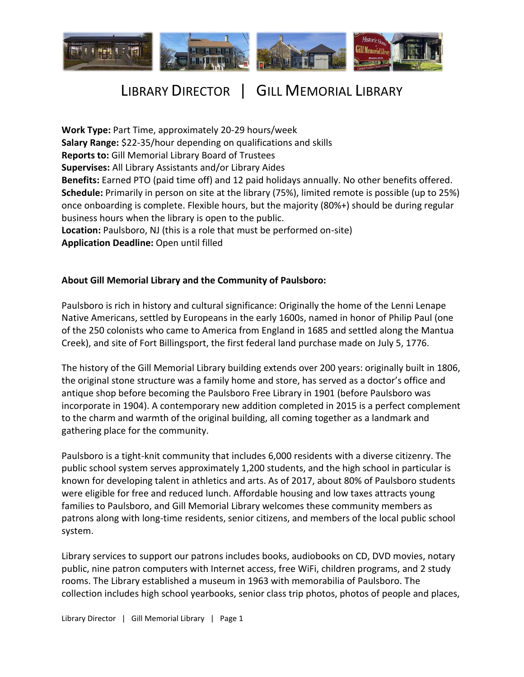

# LIBRARY DIRECTOR | GILL MEMORIAL LIBRARY

**Work Type:** Part Time, approximately 20-29 hours/week **Salary Range:** \$22-35/hour depending on qualifications and skills **Reports to:** Gill Memorial Library Board of Trustees **Supervises:** All Library Assistants and/or Library Aides **Benefits:** Earned PTO (paid time off) and 12 paid holidays annually. No other benefits offered. **Schedule:** Primarily in person on site at the library (75%), limited remote is possible (up to 25%) once onboarding is complete. Flexible hours, but the majority (80%+) should be during regular business hours when the library is open to the public. **Location:** Paulsboro, NJ (this is a role that must be performed on-site) **Application Deadline:** Open until filled

#### **About Gill Memorial Library and the Community of Paulsboro:**

Paulsboro is rich in history and cultural significance: Originally the home of the Lenni Lenape Native Americans, settled by Europeans in the early 1600s, named in honor of Philip Paul (one of the 250 colonists who came to America from England in 1685 and settled along the Mantua Creek), and site of Fort Billingsport, the first federal land purchase made on July 5, 1776.

The history of the Gill Memorial Library building extends over 200 years: originally built in 1806, the original stone structure was a family home and store, has served as a doctor's office and antique shop before becoming the Paulsboro Free Library in 1901 (before Paulsboro was incorporate in 1904). A contemporary new addition completed in 2015 is a perfect complement to the charm and warmth of the original building, all coming together as a landmark and gathering place for the community.

Paulsboro is a tight-knit community that includes 6,000 residents with a diverse citizenry. The public school system serves approximately 1,200 students, and the high school in particular is known for developing talent in athletics and arts. As of 2017, about 80% of Paulsboro students were eligible for free and reduced lunch. Affordable housing and low taxes attracts young families to Paulsboro, and Gill Memorial Library welcomes these community members as patrons along with long-time residents, senior citizens, and members of the local public school system.

Library services to support our patrons includes books, audiobooks on CD, DVD movies, notary public, nine patron computers with Internet access, free WiFi, children programs, and 2 study rooms. The Library established a museum in 1963 with memorabilia of Paulsboro. The collection includes high school yearbooks, senior class trip photos, photos of people and places,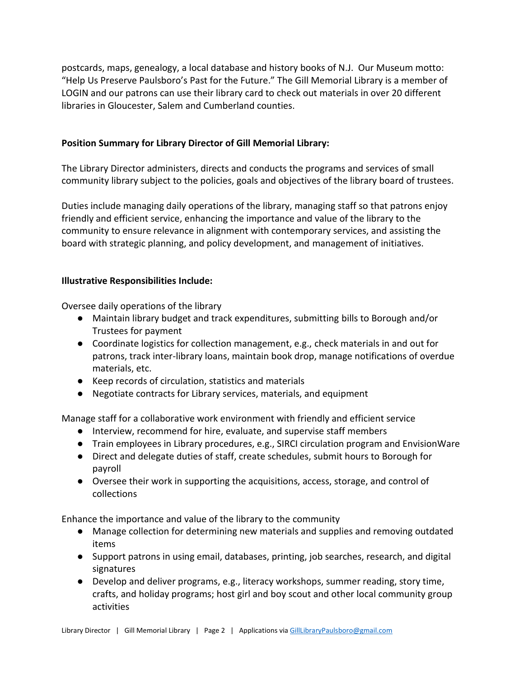postcards, maps, genealogy, a local database and history books of N.J. Our Museum motto: "Help Us Preserve Paulsboro's Past for the Future." The Gill Memorial Library is a member of LOGIN and our patrons can use their library card to check out materials in over 20 different libraries in Gloucester, Salem and Cumberland counties.

### **Position Summary for Library Director of Gill Memorial Library:**

The Library Director administers, directs and conducts the programs and services of small community library subject to the policies, goals and objectives of the library board of trustees.

Duties include managing daily operations of the library, managing staff so that patrons enjoy friendly and efficient service, enhancing the importance and value of the library to the community to ensure relevance in alignment with contemporary services, and assisting the board with strategic planning, and policy development, and management of initiatives.

#### **Illustrative Responsibilities Include:**

Oversee daily operations of the library

- Maintain library budget and track expenditures, submitting bills to Borough and/or Trustees for payment
- Coordinate logistics for collection management, e.g., check materials in and out for patrons, track inter-library loans, maintain book drop, manage notifications of overdue materials, etc.
- Keep records of circulation, statistics and materials
- Negotiate contracts for Library services, materials, and equipment

Manage staff for a collaborative work environment with friendly and efficient service

- Interview, recommend for hire, evaluate, and supervise staff members
- Train employees in Library procedures, e.g., SIRCI circulation program and EnvisionWare
- Direct and delegate duties of staff, create schedules, submit hours to Borough for payroll
- Oversee their work in supporting the acquisitions, access, storage, and control of collections

Enhance the importance and value of the library to the community

- Manage collection for determining new materials and supplies and removing outdated items
- Support patrons in using email, databases, printing, job searches, research, and digital signatures
- Develop and deliver programs, e.g., literacy workshops, summer reading, story time, crafts, and holiday programs; host girl and boy scout and other local community group activities